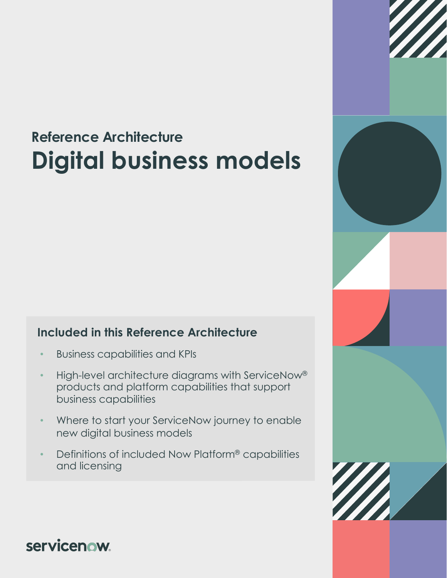# **Reference Architecture Digital business models**

#### **Included in this Reference Architecture**

- Business capabilities and KPIs
- High-level architecture diagrams with ServiceNow® products and platform capabilities that support business capabilities
- Where to start your ServiceNow journey to enable new digital business models
- Definitions of included Now Platform® capabilities and licensing



**servicenow**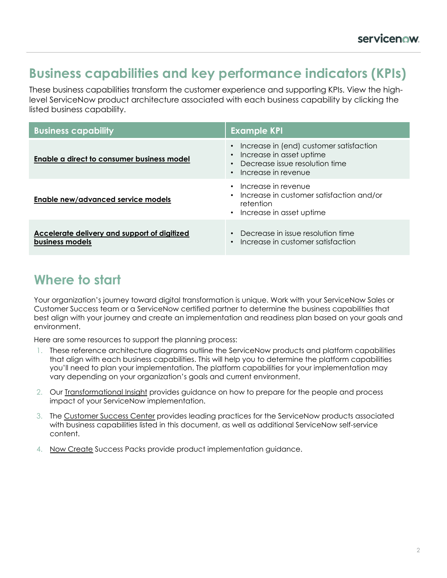### **Business capabilities and key performance indicators (KPIs)**

These business capabilities transform the customer experience and supporting KPIs. View the highlevel ServiceNow product architecture associated with each business capability by clicking the listed business capability.

| <b>Business capability</b>                                      | <b>Example KPI</b>                                                                                                                                     |
|-----------------------------------------------------------------|--------------------------------------------------------------------------------------------------------------------------------------------------------|
| Enable a direct to consumer business model                      | Increase in (end) customer satisfaction<br>$\bullet$<br>Increase in asset uptime<br>Decrease issue resolution time<br>$\bullet$<br>Increase in revenue |
| Enable new/advanced service models                              | Increase in revenue<br>$\bullet$<br>Increase in customer satisfaction and/or<br>$\bullet$<br>retention<br>• Increase in asset uptime                   |
| Accelerate delivery and support of digitized<br>business models | Decrease in issue resolution time<br>$\bullet$<br>Increase in customer satisfaction                                                                    |

### **Where to start**

Your organization's journey toward digital transformation is unique. Work with your ServiceNow Sales or Customer Success team or a ServiceNow certified partner to determine the business capabilities that best align with your journey and create an implementation and readiness plan based on your goals and environment.

Here are some resources to support the planning process:

- 1. These reference architecture diagrams outline the ServiceNow products and platform capabilities that align with each business capabilities. This will help you to determine the platform capabilities you'll need to plan your implementation. The platform capabilities for your implementation may vary depending on your organization's goals and current environment.
- 2. Our [Transformational Insight](https://www.servicenow.com/content/dam/servicenow-assets/public/en-us/doc-type/success/transformation/digital-business-models.pdf) provides guidance on how to prepare for the people and process impact of your ServiceNow implementation.
- 3. The [Customer Success Center](https://www.servicenow.com/success.html) provides leading practices for the ServiceNow products associated with business capabilities listed in this document, as well as additional ServiceNow self-service content.
- 4. [Now Create](https://nowlearning.service-now.com/nowcreate) Success Packs provide product implementation guidance.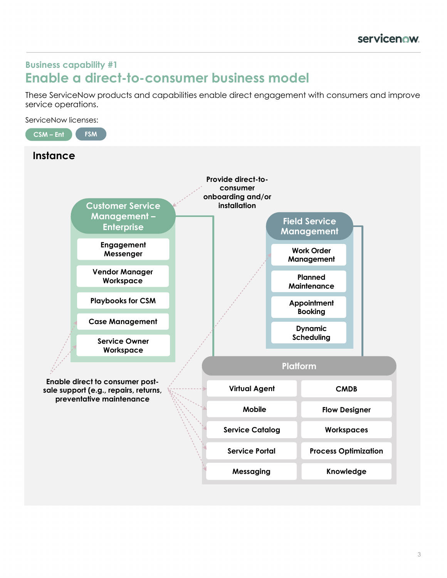#### <span id="page-2-0"></span>**Business capability #1 Enable a direct-to-consumer business model**

These ServiceNow products and capabilities enable direct engagement with consumers and improve service operations.

ServiceNow licenses:

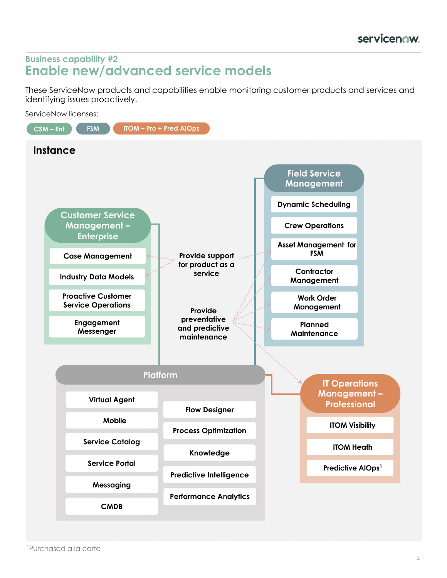#### <span id="page-3-0"></span>**Business capability #2 Enable new/advanced service models**

These ServiceNow products and capabilities enable monitoring customer products and services and identifying issues proactively.

ServiceNow licenses:

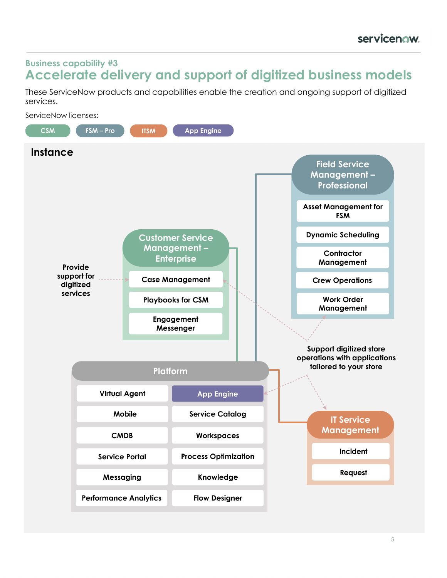#### <span id="page-4-0"></span>**Business capability #3 Accelerate delivery and support of digitized business models**

These ServiceNow products and capabilities enable the creation and ongoing support of digitized services.

ServiceNow licenses:

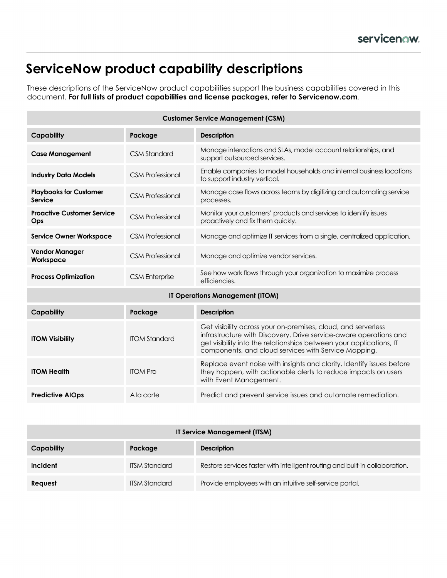### **ServiceNow product capability descriptions**

These descriptions of the ServiceNow product capabilities support the business capabilities covered in this document. **For full lists of product capabilities and license packages, refer to Servicenow.com***.*

| <b>Customer Service Management (CSM)</b>        |                         |                                                                                                                                                                                                                                                                   |
|-------------------------------------------------|-------------------------|-------------------------------------------------------------------------------------------------------------------------------------------------------------------------------------------------------------------------------------------------------------------|
| <b>Capability</b>                               | Package                 | <b>Description</b>                                                                                                                                                                                                                                                |
| <b>Case Management</b>                          | <b>CSM Standard</b>     | Manage interactions and SLAs, model account relationships, and<br>support outsourced services.                                                                                                                                                                    |
| <b>Industry Data Models</b>                     | <b>CSM Professional</b> | Enable companies to model households and internal business locations<br>to support industry vertical.                                                                                                                                                             |
| <b>Playbooks for Customer</b><br><b>Service</b> | <b>CSM Professional</b> | Manage case flows across teams by digitizing and automating service<br>processes.                                                                                                                                                                                 |
| <b>Proactive Customer Service</b><br>Ops        | <b>CSM Professional</b> | Monitor your customers' products and services to identify issues<br>proactively and fix them quickly.                                                                                                                                                             |
| <b>Service Owner Workspace</b>                  | <b>CSM Professional</b> | Manage and optimize IT services from a single, centralized application.                                                                                                                                                                                           |
| <b>Vendor Manager</b><br>Workspace              | <b>CSM Professional</b> | Manage and optimize vendor services.                                                                                                                                                                                                                              |
| <b>Process Optimization</b>                     | <b>CSM</b> Enterprise   | See how work flows through your organization to maximize process<br>efficiencies.                                                                                                                                                                                 |
| IT Operations Management (ITOM)                 |                         |                                                                                                                                                                                                                                                                   |
| <b>Capability</b>                               | Package                 | <b>Description</b>                                                                                                                                                                                                                                                |
| <b>ITOM Visibility</b>                          | <b>ITOM Standard</b>    | Get visibility across your on-premises, cloud, and serverless<br>infrastructure with Discovery. Drive service-aware operations and<br>get visibility into the relationships between your applications, IT<br>components, and cloud services with Service Mapping. |
| <b>ITOM Health</b>                              | <b>ITOM Pro</b>         | Replace event noise with insights and clarity. Identify issues before<br>they happen, with actionable alerts to reduce impacts on users<br>with Event Management.                                                                                                 |
| <b>Predictive AIOps</b>                         | A la carte              | Predict and prevent service issues and automate remediation.                                                                                                                                                                                                      |

| <b>IT Service Management (ITSM)</b> |                      |                                                                              |  |
|-------------------------------------|----------------------|------------------------------------------------------------------------------|--|
| Capability                          | Package              | <b>Description</b>                                                           |  |
| Incident                            | <b>ITSM Standard</b> | Restore services faster with intelligent routing and built-in collaboration. |  |
| Request                             | <b>ITSM Standard</b> | Provide employees with an intuitive self-service portal.                     |  |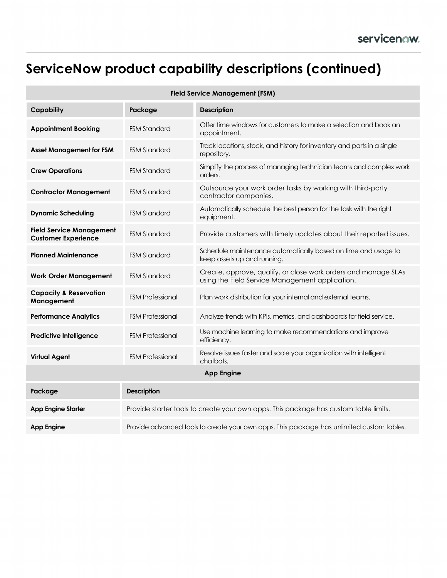# **ServiceNow product capability descriptions (continued)**

| <b>Field Service Management (FSM)</b>                         |                                                                                           |                                                                                                                   |  |  |
|---------------------------------------------------------------|-------------------------------------------------------------------------------------------|-------------------------------------------------------------------------------------------------------------------|--|--|
| <b>Capability</b>                                             | Package                                                                                   | <b>Description</b>                                                                                                |  |  |
| <b>Appointment Booking</b>                                    | <b>FSM Standard</b>                                                                       | Offer time windows for customers to make a selection and book an<br>appointment.                                  |  |  |
| <b>Asset Management for FSM</b>                               | <b>FSM Standard</b>                                                                       | Track locations, stock, and history for inventory and parts in a single<br>repository.                            |  |  |
| <b>Crew Operations</b>                                        | <b>FSM Standard</b>                                                                       | Simplify the process of managing technician teams and complex work<br>orders.                                     |  |  |
| <b>Contractor Management</b>                                  | <b>FSM Standard</b>                                                                       | Outsource your work order tasks by working with third-party<br>contractor companies.                              |  |  |
| <b>Dynamic Scheduling</b>                                     | <b>FSM Standard</b>                                                                       | Automatically schedule the best person for the task with the right<br>equipment.                                  |  |  |
| <b>Field Service Management</b><br><b>Customer Experience</b> | <b>FSM Standard</b>                                                                       | Provide customers with timely updates about their reported issues.                                                |  |  |
| <b>Planned Maintenance</b>                                    | <b>FSM Standard</b>                                                                       | Schedule maintenance automatically based on time and usage to<br>keep assets up and running.                      |  |  |
| <b>Work Order Management</b>                                  | <b>FSM Standard</b>                                                                       | Create, approve, qualify, or close work orders and manage SLAs<br>using the Field Service Management application. |  |  |
| <b>Capacity &amp; Reservation</b><br>Management               | <b>FSM Professional</b>                                                                   | Plan work distribution for your internal and external teams.                                                      |  |  |
| <b>Performance Analytics</b>                                  | <b>FSM Professional</b>                                                                   | Analyze trends with KPIs, metrics, and dashboards for field service.                                              |  |  |
| <b>Predictive Intelligence</b>                                | <b>FSM Professional</b>                                                                   | Use machine learning to make recommendations and improve<br>efficiency.                                           |  |  |
| <b>Virtual Agent</b>                                          | <b>FSM Professional</b>                                                                   | Resolve issues faster and scale your organization with intelligent<br>chatbots.                                   |  |  |
| <b>App Engine</b>                                             |                                                                                           |                                                                                                                   |  |  |
| Package                                                       | <b>Description</b>                                                                        |                                                                                                                   |  |  |
| <b>App Engine Starter</b>                                     | Provide starter tools to create your own apps. This package has custom table limits.      |                                                                                                                   |  |  |
| <b>App Engine</b>                                             | Provide advanced tools to create your own apps. This package has unlimited custom tables. |                                                                                                                   |  |  |